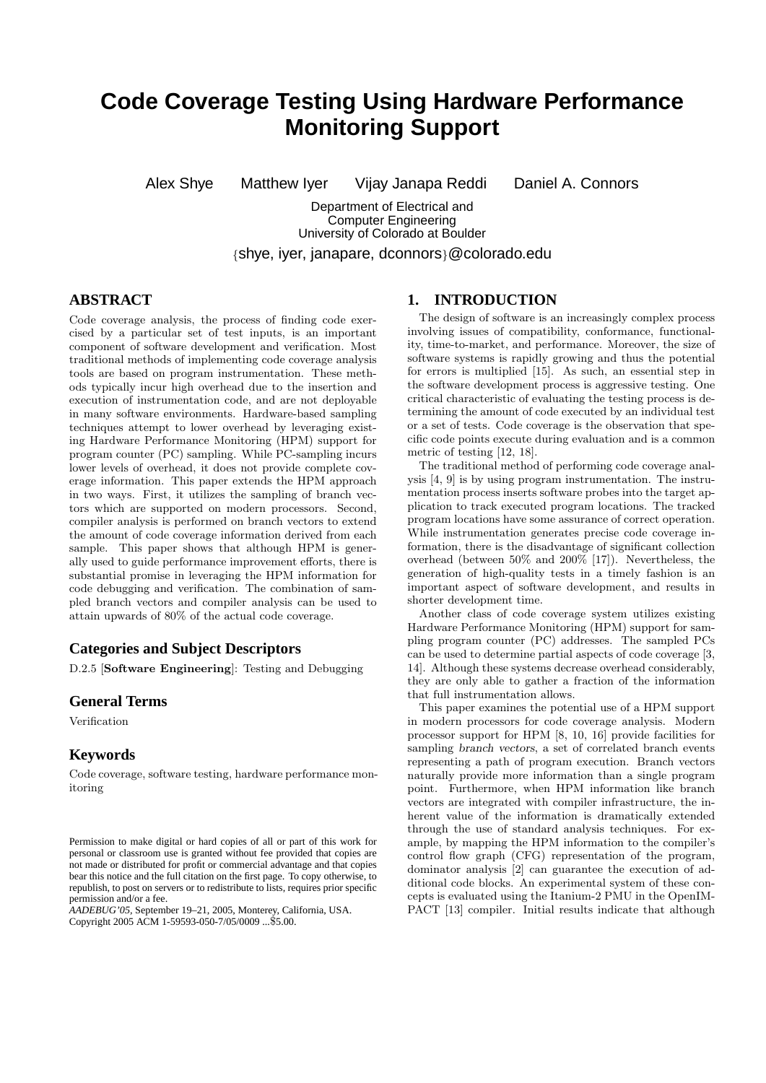# **Code Coverage Testing Using Hardware Performance Monitoring Support**

Alex Shye Matthew Iyer Vijay Janapa Reddi Daniel A. Connors

Department of Electrical and Computer Engineering University of Colorado at Boulder {shye, iyer, janapare, dconnors}@colorado.edu

## **ABSTRACT**

Code coverage analysis, the process of finding code exercised by a particular set of test inputs, is an important component of software development and verification. Most traditional methods of implementing code coverage analysis tools are based on program instrumentation. These methods typically incur high overhead due to the insertion and execution of instrumentation code, and are not deployable in many software environments. Hardware-based sampling techniques attempt to lower overhead by leveraging existing Hardware Performance Monitoring (HPM) support for program counter (PC) sampling. While PC-sampling incurs lower levels of overhead, it does not provide complete coverage information. This paper extends the HPM approach in two ways. First, it utilizes the sampling of branch vectors which are supported on modern processors. Second, compiler analysis is performed on branch vectors to extend the amount of code coverage information derived from each sample. This paper shows that although HPM is generally used to guide performance improvement efforts, there is substantial promise in leveraging the HPM information for code debugging and verification. The combination of sampled branch vectors and compiler analysis can be used to attain upwards of 80% of the actual code coverage.

# **Categories and Subject Descriptors**

D.2.5 [Software Engineering]: Testing and Debugging

# **General Terms**

Verification

## **Keywords**

Code coverage, software testing, hardware performance monitoring

*AADEBUG'05,* September 19–21, 2005, Monterey, California, USA. Copyright 2005 ACM 1-59593-050-7/05/0009 ...\$5.00.

#### **1. INTRODUCTION**

The design of software is an increasingly complex process involving issues of compatibility, conformance, functionality, time-to-market, and performance. Moreover, the size of software systems is rapidly growing and thus the potential for errors is multiplied [15]. As such, an essential step in the software development process is aggressive testing. One critical characteristic of evaluating the testing process is determining the amount of code executed by an individual test or a set of tests. Code coverage is the observation that specific code points execute during evaluation and is a common metric of testing [12, 18].

The traditional method of performing code coverage analysis [4, 9] is by using program instrumentation. The instrumentation process inserts software probes into the target application to track executed program locations. The tracked program locations have some assurance of correct operation. While instrumentation generates precise code coverage information, there is the disadvantage of significant collection overhead (between 50% and 200% [17]). Nevertheless, the generation of high-quality tests in a timely fashion is an important aspect of software development, and results in shorter development time.

Another class of code coverage system utilizes existing Hardware Performance Monitoring (HPM) support for sampling program counter (PC) addresses. The sampled PCs can be used to determine partial aspects of code coverage [3, 14]. Although these systems decrease overhead considerably, they are only able to gather a fraction of the information that full instrumentation allows.

This paper examines the potential use of a HPM support in modern processors for code coverage analysis. Modern processor support for HPM [8, 10, 16] provide facilities for sampling branch vectors, a set of correlated branch events representing a path of program execution. Branch vectors naturally provide more information than a single program point. Furthermore, when HPM information like branch vectors are integrated with compiler infrastructure, the inherent value of the information is dramatically extended through the use of standard analysis techniques. For example, by mapping the HPM information to the compiler's control flow graph (CFG) representation of the program, dominator analysis [2] can guarantee the execution of additional code blocks. An experimental system of these concepts is evaluated using the Itanium-2 PMU in the OpenIM-PACT [13] compiler. Initial results indicate that although

Permission to make digital or hard copies of all or part of this work for personal or classroom use is granted without fee provided that copies are not made or distributed for profit or commercial advantage and that copies bear this notice and the full citation on the first page. To copy otherwise, to republish, to post on servers or to redistribute to lists, requires prior specific permission and/or a fee.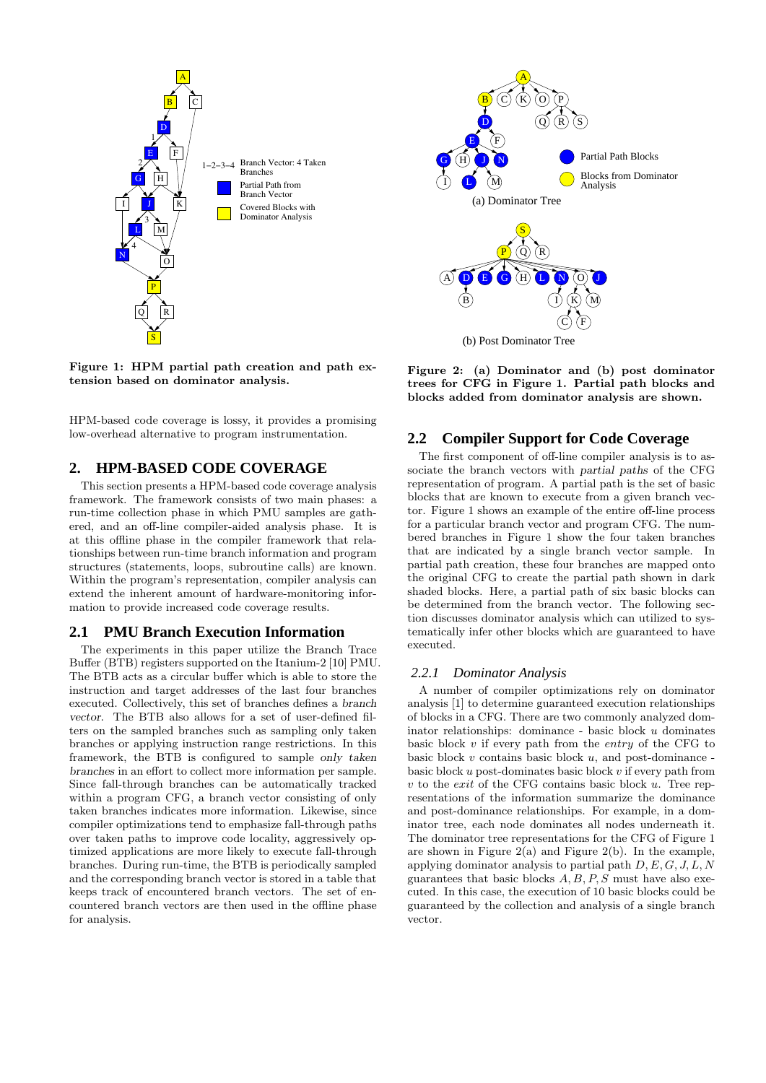

Figure 1: HPM partial path creation and path extension based on dominator analysis.

HPM-based code coverage is lossy, it provides a promising low-overhead alternative to program instrumentation.

## **2. HPM-BASED CODE COVERAGE**

This section presents a HPM-based code coverage analysis framework. The framework consists of two main phases: a run-time collection phase in which PMU samples are gathered, and an off-line compiler-aided analysis phase. It is at this offline phase in the compiler framework that relationships between run-time branch information and program structures (statements, loops, subroutine calls) are known. Within the program's representation, compiler analysis can extend the inherent amount of hardware-monitoring information to provide increased code coverage results.

## **2.1 PMU Branch Execution Information**

The experiments in this paper utilize the Branch Trace Buffer (BTB) registers supported on the Itanium-2 [10] PMU. The BTB acts as a circular buffer which is able to store the instruction and target addresses of the last four branches executed. Collectively, this set of branches defines a branch vector. The BTB also allows for a set of user-defined filters on the sampled branches such as sampling only taken branches or applying instruction range restrictions. In this framework, the BTB is configured to sample only taken branches in an effort to collect more information per sample. Since fall-through branches can be automatically tracked within a program CFG, a branch vector consisting of only taken branches indicates more information. Likewise, since compiler optimizations tend to emphasize fall-through paths over taken paths to improve code locality, aggressively optimized applications are more likely to execute fall-through branches. During run-time, the BTB is periodically sampled and the corresponding branch vector is stored in a table that keeps track of encountered branch vectors. The set of encountered branch vectors are then used in the offline phase for analysis.



Figure 2: (a) Dominator and (b) post dominator trees for CFG in Figure 1. Partial path blocks and blocks added from dominator analysis are shown.

## **2.2 Compiler Support for Code Coverage**

The first component of off-line compiler analysis is to associate the branch vectors with partial paths of the CFG representation of program. A partial path is the set of basic blocks that are known to execute from a given branch vector. Figure 1 shows an example of the entire off-line process for a particular branch vector and program CFG. The numbered branches in Figure 1 show the four taken branches that are indicated by a single branch vector sample. In partial path creation, these four branches are mapped onto the original CFG to create the partial path shown in dark shaded blocks. Here, a partial path of six basic blocks can be determined from the branch vector. The following section discusses dominator analysis which can utilized to systematically infer other blocks which are guaranteed to have executed.

#### *2.2.1 Dominator Analysis*

A number of compiler optimizations rely on dominator analysis [1] to determine guaranteed execution relationships of blocks in a CFG. There are two commonly analyzed dominator relationships: dominance - basic block  $u$  dominates basic block  $v$  if every path from the entry of the CFG to basic block  $v$  contains basic block  $u$ , and post-dominance basic block u post-dominates basic block v if every path from v to the *exit* of the CFG contains basic block  $u$ . Tree representations of the information summarize the dominance and post-dominance relationships. For example, in a dominator tree, each node dominates all nodes underneath it. The dominator tree representations for the CFG of Figure 1 are shown in Figure  $2(a)$  and Figure  $2(b)$ . In the example, applying dominator analysis to partial path  $D, E, G, J, L, N$ guarantees that basic blocks  $A, B, P, S$  must have also executed. In this case, the execution of 10 basic blocks could be guaranteed by the collection and analysis of a single branch vector.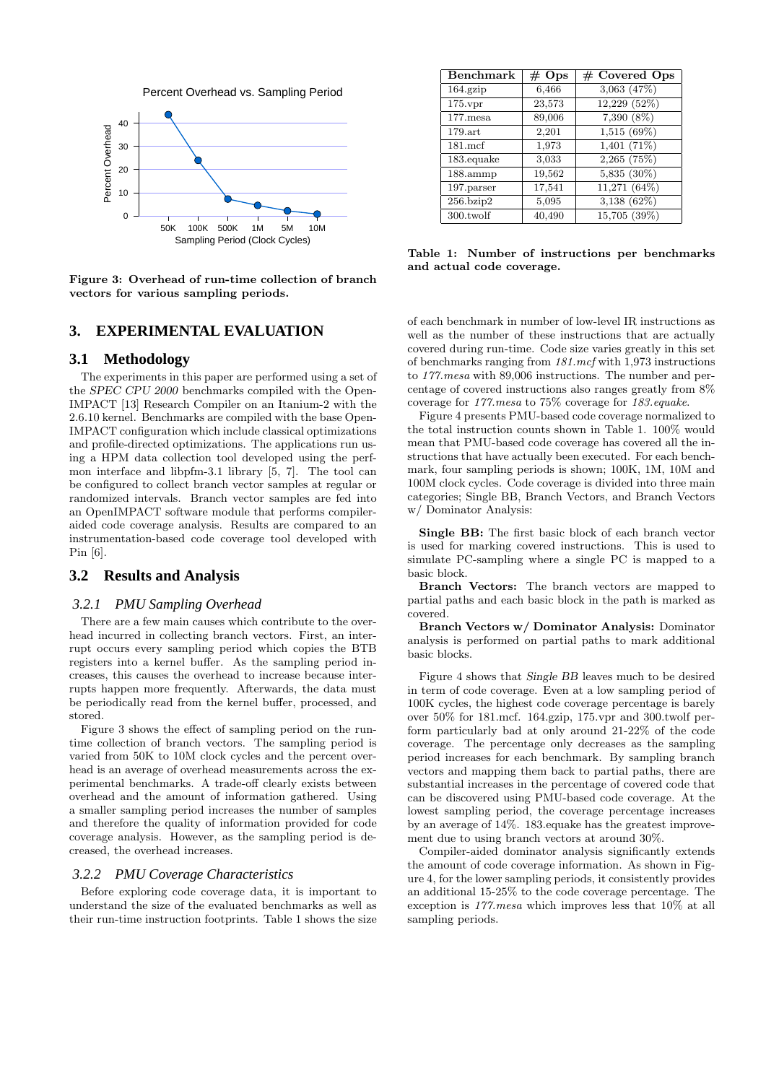Percent Overhead vs. Sampling Period



Figure 3: Overhead of run-time collection of branch vectors for various sampling periods.

# **3. EXPERIMENTAL EVALUATION**

## **3.1 Methodology**

The experiments in this paper are performed using a set of the SPEC CPU 2000 benchmarks compiled with the Open-IMPACT [13] Research Compiler on an Itanium-2 with the 2.6.10 kernel. Benchmarks are compiled with the base Open-IMPACT configuration which include classical optimizations and profile-directed optimizations. The applications run using a HPM data collection tool developed using the perfmon interface and libpfm-3.1 library [5, 7]. The tool can be configured to collect branch vector samples at regular or randomized intervals. Branch vector samples are fed into an OpenIMPACT software module that performs compileraided code coverage analysis. Results are compared to an instrumentation-based code coverage tool developed with Pin [6].

## **3.2 Results and Analysis**

#### *3.2.1 PMU Sampling Overhead*

There are a few main causes which contribute to the overhead incurred in collecting branch vectors. First, an interrupt occurs every sampling period which copies the BTB registers into a kernel buffer. As the sampling period increases, this causes the overhead to increase because interrupts happen more frequently. Afterwards, the data must be periodically read from the kernel buffer, processed, and stored.

Figure 3 shows the effect of sampling period on the runtime collection of branch vectors. The sampling period is varied from 50K to 10M clock cycles and the percent overhead is an average of overhead measurements across the experimental benchmarks. A trade-off clearly exists between overhead and the amount of information gathered. Using a smaller sampling period increases the number of samples and therefore the quality of information provided for code coverage analysis. However, as the sampling period is decreased, the overhead increases.

### *3.2.2 PMU Coverage Characteristics*

Before exploring code coverage data, it is important to understand the size of the evaluated benchmarks as well as their run-time instruction footprints. Table 1 shows the size

| Benchmark        | $#$ Ops | $#$ Covered Ops |
|------------------|---------|-----------------|
| $164$ .gzip      | 6,466   | 3,063 (47%)     |
| 175. vpr         | 23,573  | 12,229(52%)     |
| $177$ . mesa     | 89,006  | 7,390 (8%)      |
| $179.\text{art}$ | 2,201   | 1,515 (69%)     |
| $181$ .mcf       | 1,973   | 1,401 (71%)     |
| 183.equake       | 3,033   | 2,265 (75%)     |
| $188.\text{amp}$ | 19,562  | 5,835 (30%)     |
| 197.parser       | 17,541  | 11,271 (64%)    |
| $256.$ bzip $2$  | 5,095   | 3,138 (62%)     |
| 300.twolf        | 40,490  | 15,705 (39%)    |

Table 1: Number of instructions per benchmarks and actual code coverage.

of each benchmark in number of low-level IR instructions as well as the number of these instructions that are actually covered during run-time. Code size varies greatly in this set of benchmarks ranging from 181.mcf with 1,973 instructions to 177.mesa with 89,006 instructions. The number and percentage of covered instructions also ranges greatly from 8% coverage for 177.mesa to 75% coverage for 183.equake.

Figure 4 presents PMU-based code coverage normalized to the total instruction counts shown in Table 1. 100% would mean that PMU-based code coverage has covered all the instructions that have actually been executed. For each benchmark, four sampling periods is shown; 100K, 1M, 10M and 100M clock cycles. Code coverage is divided into three main categories; Single BB, Branch Vectors, and Branch Vectors w/ Dominator Analysis:

Single BB: The first basic block of each branch vector is used for marking covered instructions. This is used to simulate PC-sampling where a single PC is mapped to a basic block.

Branch Vectors: The branch vectors are mapped to partial paths and each basic block in the path is marked as covered.

Branch Vectors w/ Dominator Analysis: Dominator analysis is performed on partial paths to mark additional basic blocks.

Figure 4 shows that Single BB leaves much to be desired in term of code coverage. Even at a low sampling period of 100K cycles, the highest code coverage percentage is barely over 50% for 181.mcf. 164.gzip, 175.vpr and 300.twolf perform particularly bad at only around 21-22% of the code coverage. The percentage only decreases as the sampling period increases for each benchmark. By sampling branch vectors and mapping them back to partial paths, there are substantial increases in the percentage of covered code that can be discovered using PMU-based code coverage. At the lowest sampling period, the coverage percentage increases by an average of 14%. 183.equake has the greatest improvement due to using branch vectors at around 30%.

Compiler-aided dominator analysis significantly extends the amount of code coverage information. As shown in Figure 4, for the lower sampling periods, it consistently provides an additional 15-25% to the code coverage percentage. The exception is 177.mesa which improves less that 10% at all sampling periods.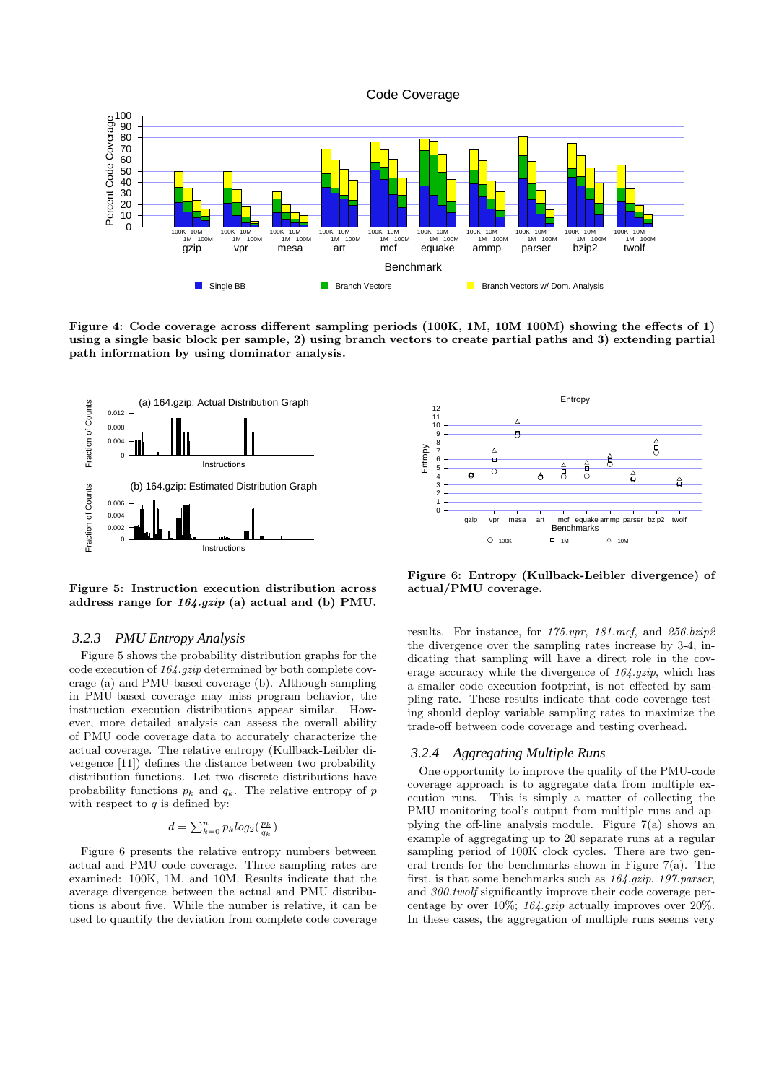

Figure 4: Code coverage across different sampling periods (100K, 1M, 10M 100M) showing the effects of 1) using a single basic block per sample, 2) using branch vectors to create partial paths and 3) extending partial path information by using dominator analysis.



Figure 5: Instruction execution distribution across address range for 164.gzip (a) actual and (b) PMU.

## *3.2.3 PMU Entropy Analysis*

Figure 5 shows the probability distribution graphs for the code execution of 164.gzip determined by both complete coverage (a) and PMU-based coverage (b). Although sampling in PMU-based coverage may miss program behavior, the instruction execution distributions appear similar. However, more detailed analysis can assess the overall ability of PMU code coverage data to accurately characterize the actual coverage. The relative entropy (Kullback-Leibler divergence [11]) defines the distance between two probability distribution functions. Let two discrete distributions have probability functions  $p_k$  and  $q_k$ . The relative entropy of p with respect to  $q$  is defined by:

$$
d = \sum_{k=0}^{n} p_k log_2(\frac{p_k}{q_k})
$$

Figure 6 presents the relative entropy numbers between actual and PMU code coverage. Three sampling rates are examined: 100K, 1M, and 10M. Results indicate that the average divergence between the actual and PMU distributions is about five. While the number is relative, it can be used to quantify the deviation from complete code coverage



Figure 6: Entropy (Kullback-Leibler divergence) of actual/PMU coverage.

results. For instance, for 175.vpr, 181.mcf, and 256.bzip2 the divergence over the sampling rates increase by 3-4, indicating that sampling will have a direct role in the coverage accuracy while the divergence of  $164.qzip$ , which has a smaller code execution footprint, is not effected by sampling rate. These results indicate that code coverage testing should deploy variable sampling rates to maximize the trade-off between code coverage and testing overhead.

#### *3.2.4 Aggregating Multiple Runs*

One opportunity to improve the quality of the PMU-code coverage approach is to aggregate data from multiple execution runs. This is simply a matter of collecting the PMU monitoring tool's output from multiple runs and applying the off-line analysis module. Figure 7(a) shows an example of aggregating up to 20 separate runs at a regular sampling period of  $100K$  clock cycles. There are two general trends for the benchmarks shown in Figure 7(a). The first, is that some benchmarks such as 164.gzip, 197.parser, and 300.twolf significantly improve their code coverage percentage by over 10%;  $164.$  gzip actually improves over 20%. In these cases, the aggregation of multiple runs seems very